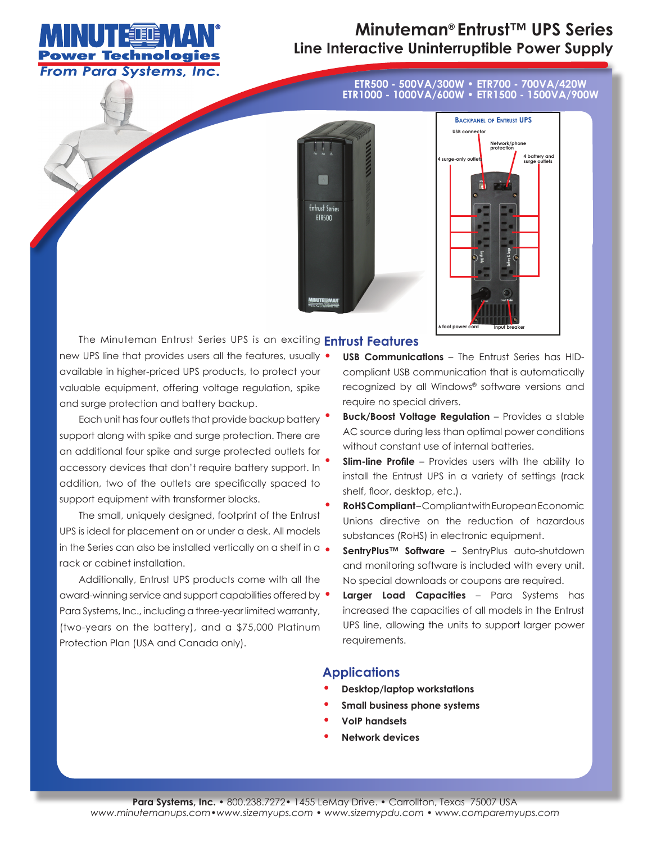

## **Minuteman® Entrust™ UPS Series Line Interactive Uninterruptible Power Supply**

**ETR500 - 500VA/300W • ETR700 - 700VA/420W ETR1000 - 1000VA/600W • ETR1500 - 1500VA/900W**





The Minuteman Entrust Series UPS is an exciting **Entrust Features**

new UPS line that provides users all the features, usually • available in higher-priced UPS products, to protect your valuable equipment, offering voltage regulation, spike and surge protection and battery backup.

Each unit has four outlets that provide backup battery  $\bullet$ support along with spike and surge protection. There are an additional four spike and surge protected outlets for accessory devices that don't require battery support. In addition, two of the outlets are specifically spaced to support equipment with transformer blocks.

The small, uniquely designed, footprint of the Entrust UPS is ideal for placement on or under a desk. All models in the Series can also be installed vertically on a shelf in a rack or cabinet installation.

Additionally, Entrust UPS products come with all the award-winning service and support capabilities offered by Para Systems, Inc., including a three-year limited warranty, (two-years on the battery), and a \$75,000 Platinum Protection Plan (USA and Canada only).

- **• USB Communications** The Entrust Series has HIDcompliant USB communication that is automatically recognized by all Windows® software versions and require no special drivers.
- **• Buck/Boost Voltage Regulation** Provides a stable AC source during less than optimal power conditions without constant use of internal batteries.
- **Slim-line Profile** Provides users with the ability to install the Entrust UPS in a variety of settings (rack shelf, floor, desktop, etc.).
- **• RoHS Compliant**  Compliant with European Economic Unions directive on the reduction of hazardous substances (RoHS) in electronic equipment.
- **• SentryPlus™ Software**  SentryPlus auto-shutdown and monitoring software is included with every unit. No special downloads or coupons are required.
- **• Larger Load Capacities** Para Systems has increased the capacities of all models in the Entrust UPS line, allowing the units to support larger power requirements.

## **Applications**

- **• Desktop/laptop workstations**
- **• Small business phone systems**
- **• VoIP handsets**
- **• Network devices**